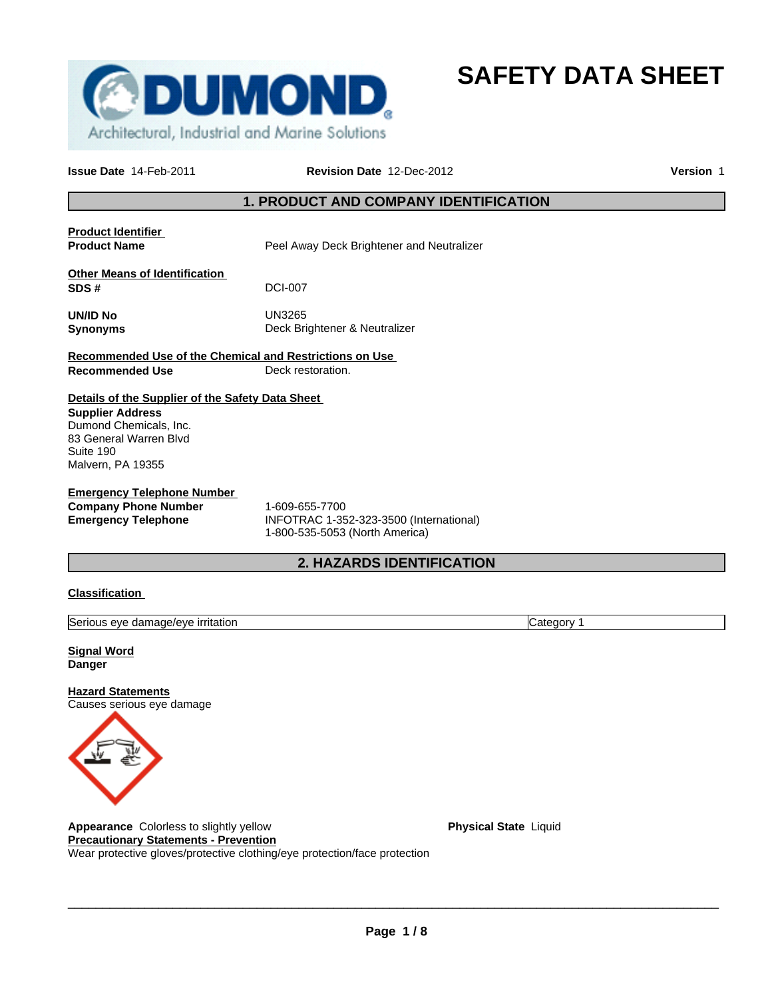

**SAFETY DATA SHEET**

**Issue Date** 14-Feb-2011 **Revision Date** 12-Dec-2012 **Version** 1

## **1. PRODUCT AND COMPANY IDENTIFICATION**

**Product Identifier Product Name Peel Away Deck Brightener and Neutralizer Other Means of Identification SDS #** DCI-007 **UN/ID No** UN3265 **Synonyms** Deck Brightener & Neutralizer **Recommended Use of the Chemical and Restrictions on Use Recommended Use Deck restoration. Details of the Supplier of the Safety Data Sheet Emergency Telephone Number Company Phone Number** 1-609-655-7700<br> **Emergency Telephone** INFOTRAC 1-35 **Emergency Telephone** INFOTRAC 1-352-323-3500 (International) 1-800-535-5053 (North America) **2. HAZARDS IDENTIFICATION Supplier Address** Dumond Chemicals, Inc. 83 General Warren Blvd Suite 190 Malvern, PA 19355

## **Classification**

Serious eye damage/eye irritation Category 1

**Signal Word Danger**

**Hazard Statements** Causes serious eye damage



**Appearance** Colorless to slightly yellow **Physical State Liquid Physical State** Liquid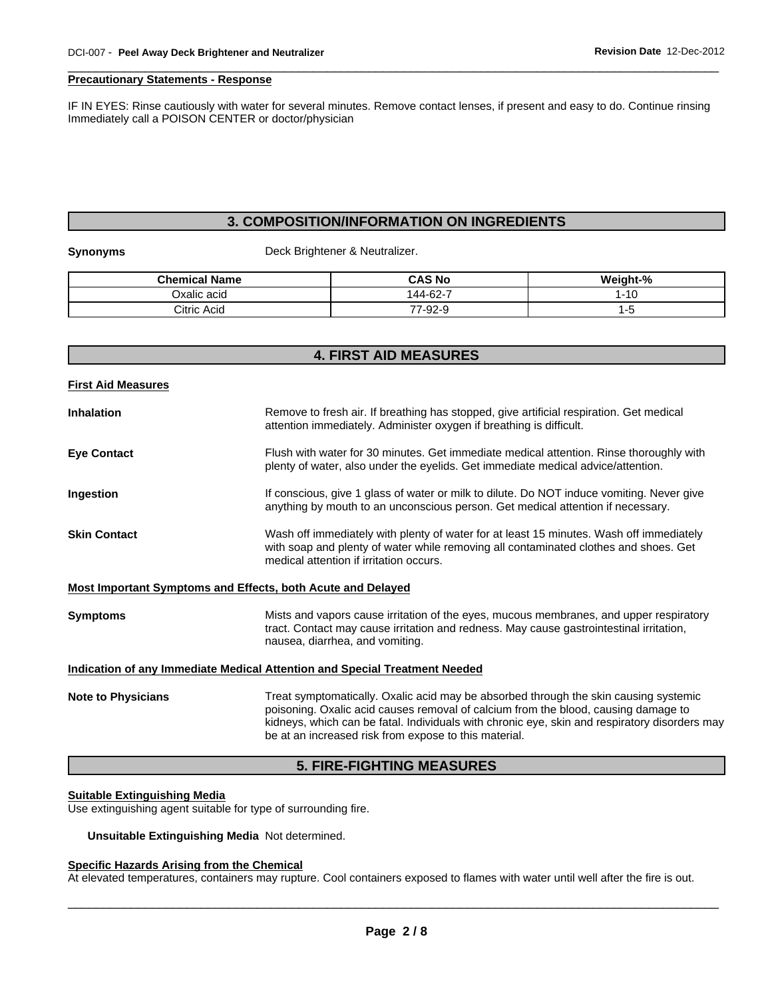#### **Precautionary Statements - Response**

IF IN EYES: Rinse cautiously with water for several minutes. Remove contact lenses, if present and easy to do. Continue rinsing Immediately call a POISON CENTER or doctor/physician

## **3. COMPOSITION/INFORMATION ON INGREDIENTS**

#### **Synonyms** Deck Brightener & Neutralizer.

| <b>Chemical Name</b> | <b>CAS No</b>                        | Weight-% |
|----------------------|--------------------------------------|----------|
| Oxalic acid          | 144-62-7                             | '-10     |
| Citric Acid          | $\overline{\phantom{a}}$<br>. 1-92-0 |          |

## **4. FIRST AID MEASURES**

| <b>First Aid Measures</b>                                   |                                                                                                                                                                                                                                                                                                                                      |
|-------------------------------------------------------------|--------------------------------------------------------------------------------------------------------------------------------------------------------------------------------------------------------------------------------------------------------------------------------------------------------------------------------------|
| <b>Inhalation</b>                                           | Remove to fresh air. If breathing has stopped, give artificial respiration. Get medical<br>attention immediately. Administer oxygen if breathing is difficult.                                                                                                                                                                       |
| <b>Eye Contact</b>                                          | Flush with water for 30 minutes. Get immediate medical attention. Rinse thoroughly with<br>plenty of water, also under the eyelids. Get immediate medical advice/attention.                                                                                                                                                          |
| Ingestion                                                   | If conscious, give 1 glass of water or milk to dilute. Do NOT induce vomiting. Never give<br>anything by mouth to an unconscious person. Get medical attention if necessary.                                                                                                                                                         |
| <b>Skin Contact</b>                                         | Wash off immediately with plenty of water for at least 15 minutes. Wash off immediately<br>with soap and plenty of water while removing all contaminated clothes and shoes. Get<br>medical attention if irritation occurs.                                                                                                           |
| Most Important Symptoms and Effects, both Acute and Delayed |                                                                                                                                                                                                                                                                                                                                      |
| <b>Symptoms</b>                                             | Mists and vapors cause irritation of the eyes, mucous membranes, and upper respiratory<br>tract. Contact may cause irritation and redness. May cause gastrointestinal irritation,<br>nausea, diarrhea, and vomiting.                                                                                                                 |
|                                                             | <b>Indication of any Immediate Medical Attention and Special Treatment Needed</b>                                                                                                                                                                                                                                                    |
| <b>Note to Physicians</b>                                   | Treat symptomatically. Oxalic acid may be absorbed through the skin causing systemic<br>poisoning. Oxalic acid causes removal of calcium from the blood, causing damage to<br>kidneys, which can be fatal. Individuals with chronic eye, skin and respiratory disorders may<br>be at an increased risk from expose to this material. |

## **5. FIRE-FIGHTING MEASURES**

## **Suitable Extinguishing Media**

Use extinguishing agent suitable for type of surrounding fire.

**Unsuitable Extinguishing Media** Not determined.

## **Specific Hazards Arising from the Chemical**

At elevated temperatures, containers may rupture. Cool containers exposed to flames with water until well after the fire is out.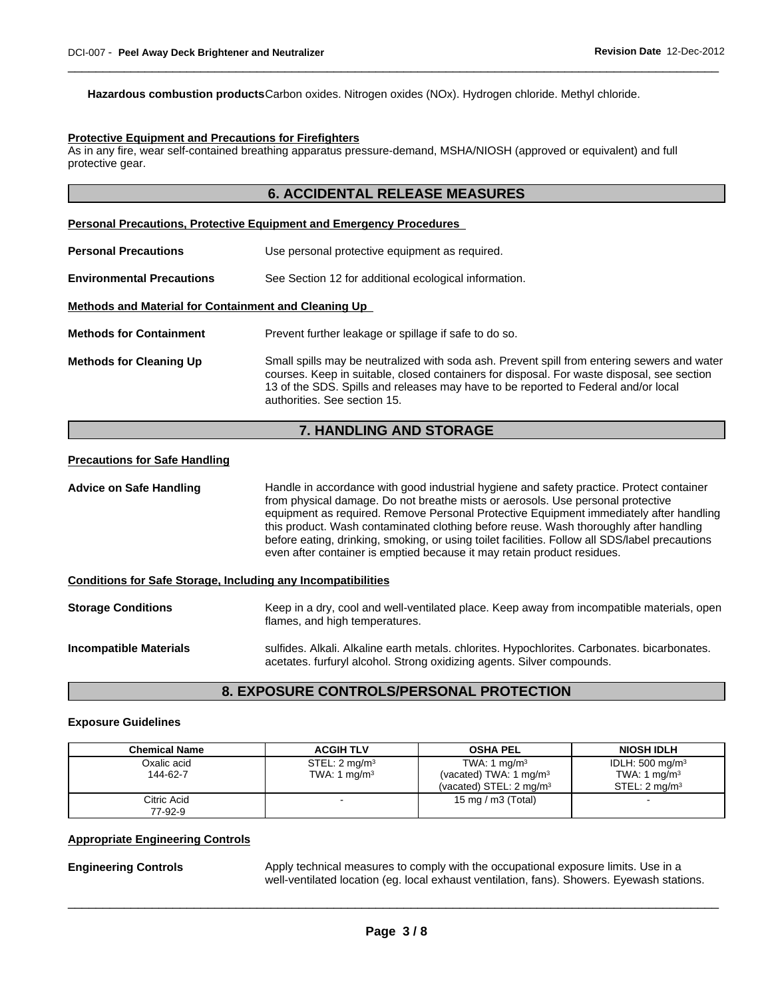**Hazardous combustion products**Carbon oxides. Nitrogen oxides (NOx). Hydrogen chloride. Methyl chloride.

## **Protective Equipment and Precautions for Firefighters**

As in any fire, wear self-contained breathing apparatus pressure-demand, MSHA/NIOSH (approved or equivalent) and full protective gear.

## **6. ACCIDENTAL RELEASE MEASURES**

|                                                      | <b>Personal Precautions, Protective Equipment and Emergency Procedures</b>                                                                                                                                                                                                                                      |  |
|------------------------------------------------------|-----------------------------------------------------------------------------------------------------------------------------------------------------------------------------------------------------------------------------------------------------------------------------------------------------------------|--|
| <b>Personal Precautions</b>                          | Use personal protective equipment as required.                                                                                                                                                                                                                                                                  |  |
| <b>Environmental Precautions</b>                     | See Section 12 for additional ecological information.                                                                                                                                                                                                                                                           |  |
| Methods and Material for Containment and Cleaning Up |                                                                                                                                                                                                                                                                                                                 |  |
| <b>Methods for Containment</b>                       | Prevent further leakage or spillage if safe to do so.                                                                                                                                                                                                                                                           |  |
| <b>Methods for Cleaning Up</b>                       | Small spills may be neutralized with soda ash. Prevent spill from entering sewers and water<br>courses. Keep in suitable, closed containers for disposal. For waste disposal, see section<br>13 of the SDS. Spills and releases may have to be reported to Federal and/or local<br>authorities. See section 15. |  |

## **7. HANDLING AND STORAGE**

## **Precautions for Safe Handling**

| Handle in accordance with good industrial hygiene and safety practice. Protect container<br><b>Advice on Safe Handling</b><br>from physical damage. Do not breathe mists or aerosols. Use personal protective<br>equipment as required. Remove Personal Protective Equipment immediately after handling<br>this product. Wash contaminated clothing before reuse. Wash thoroughly after handling<br>before eating, drinking, smoking, or using toilet facilities. Follow all SDS/label precautions<br>even after container is emptied because it may retain product residues. |                                                                                                                                                                        |
|-------------------------------------------------------------------------------------------------------------------------------------------------------------------------------------------------------------------------------------------------------------------------------------------------------------------------------------------------------------------------------------------------------------------------------------------------------------------------------------------------------------------------------------------------------------------------------|------------------------------------------------------------------------------------------------------------------------------------------------------------------------|
| <b>Conditions for Safe Storage, Including any Incompatibilities</b>                                                                                                                                                                                                                                                                                                                                                                                                                                                                                                           |                                                                                                                                                                        |
| <b>Storage Conditions</b>                                                                                                                                                                                                                                                                                                                                                                                                                                                                                                                                                     | Keep in a dry, cool and well-ventilated place. Keep away from incompatible materials, open<br>flames, and high temperatures.                                           |
| <b>Incompatible Materials</b>                                                                                                                                                                                                                                                                                                                                                                                                                                                                                                                                                 | sulfides. Alkali. Alkaline earth metals. chlorites. Hypochlorites. Carbonates. bicarbonates.<br>acetates. furfuryl alcohol. Strong oxidizing agents. Silver compounds. |

## **8. EXPOSURE CONTROLS/PERSONAL PROTECTION**

#### **Exposure Guidelines**

| <b>Chemical Name</b> | <b>ACGIH TLV</b>          | <b>OSHA PEL</b>                    | <b>NIOSH IDLH</b>         |
|----------------------|---------------------------|------------------------------------|---------------------------|
| Oxalic acid          | STEL: 2 mg/m <sup>3</sup> | TWA: 1 $mq/m3$                     | IDLH: 500 mg/m $3$        |
| 144-62-7             | TWA: 1 $mq/m3$            | (vacated) TWA: 1 $mq/m3$           | TWA: 1 $mq/m3$            |
|                      |                           | (vacated) STEL: $2 \text{ ma/m}^3$ | STEL: 2 ma/m <sup>3</sup> |
| Citric Acid          |                           | 15 mg / m $3$ (Total)              |                           |
| 77-92-9              |                           |                                    |                           |

#### **Appropriate Engineering Controls**

**Engineering Controls** Apply technical measures to comply with the occupational exposure limits. Use in a well-ventilated location (eg. local exhaust ventilation, fans). Showers. Eyewash stations.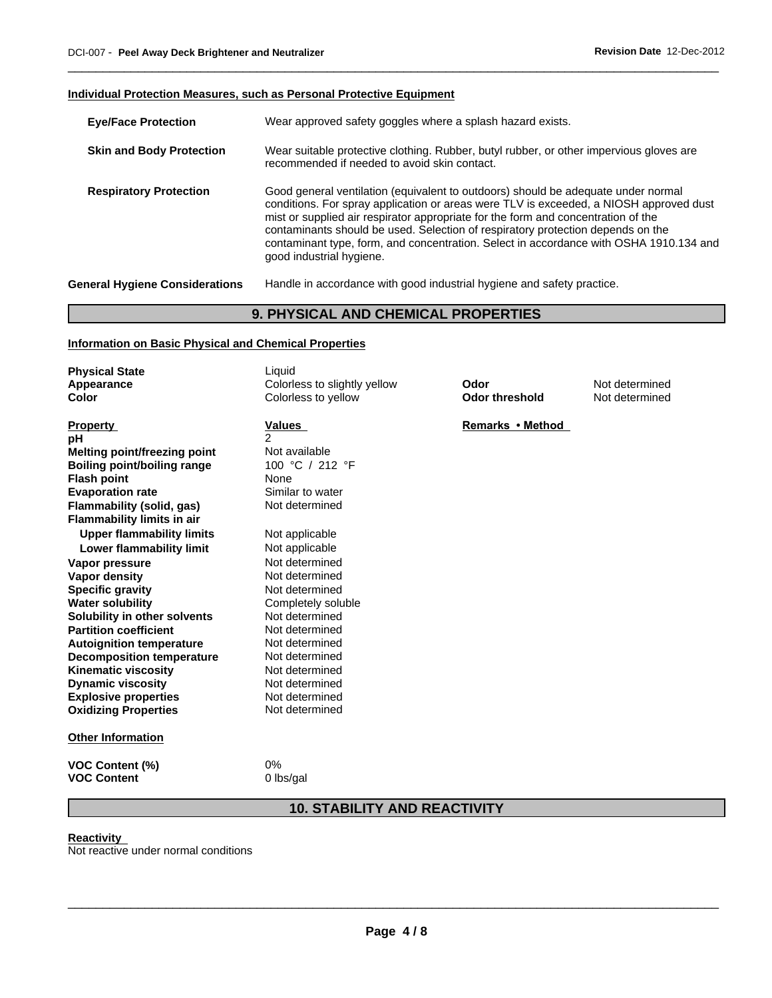## **Individual Protection Measures, such as Personal Protective Equipment**

| <b>Eye/Face Protection</b>            | Wear approved safety goggles where a splash hazard exists.                                                                                                                                                                                                                                                                                                                                                                                                                |
|---------------------------------------|---------------------------------------------------------------------------------------------------------------------------------------------------------------------------------------------------------------------------------------------------------------------------------------------------------------------------------------------------------------------------------------------------------------------------------------------------------------------------|
| <b>Skin and Body Protection</b>       | Wear suitable protective clothing. Rubber, butyl rubber, or other impervious gloves are<br>recommended if needed to avoid skin contact.                                                                                                                                                                                                                                                                                                                                   |
| <b>Respiratory Protection</b>         | Good general ventilation (equivalent to outdoors) should be adequate under normal<br>conditions. For spray application or areas were TLV is exceeded, a NIOSH approved dust<br>mist or supplied air respirator appropriate for the form and concentration of the<br>contaminants should be used. Selection of respiratory protection depends on the<br>contaminant type, form, and concentration. Select in accordance with OSHA 1910.134 and<br>good industrial hygiene. |
| <b>General Hygiene Considerations</b> | Handle in accordance with good industrial hygiene and safety practice.                                                                                                                                                                                                                                                                                                                                                                                                    |
|                                       |                                                                                                                                                                                                                                                                                                                                                                                                                                                                           |

## **9. PHYSICAL AND CHEMICAL PROPERTIES**

## **Information on Basic Physical and Chemical Properties**

| <b>Physical State</b>               | Liquid                       |                       |                |
|-------------------------------------|------------------------------|-----------------------|----------------|
| Appearance                          | Colorless to slightly yellow | Odor                  | Not determined |
| Color                               | Colorless to yellow          | <b>Odor threshold</b> | Not determined |
|                                     |                              |                       |                |
| <b>Property</b>                     | <b>Values</b>                | Remarks • Method      |                |
| рH                                  | 2                            |                       |                |
| <b>Melting point/freezing point</b> | Not available                |                       |                |
| <b>Boiling point/boiling range</b>  | 100 °C / 212 °F              |                       |                |
| <b>Flash point</b>                  | None                         |                       |                |
| <b>Evaporation rate</b>             | Similar to water             |                       |                |
| Flammability (solid, gas)           | Not determined               |                       |                |
| <b>Flammability limits in air</b>   |                              |                       |                |
| <b>Upper flammability limits</b>    | Not applicable               |                       |                |
| Lower flammability limit            | Not applicable               |                       |                |
| Vapor pressure                      | Not determined               |                       |                |
| <b>Vapor density</b>                | Not determined               |                       |                |
| <b>Specific gravity</b>             | Not determined               |                       |                |
| <b>Water solubility</b>             | Completely soluble           |                       |                |
| Solubility in other solvents        | Not determined               |                       |                |
| <b>Partition coefficient</b>        | Not determined               |                       |                |
| <b>Autoignition temperature</b>     | Not determined               |                       |                |
| <b>Decomposition temperature</b>    | Not determined               |                       |                |
| <b>Kinematic viscosity</b>          | Not determined               |                       |                |
| <b>Dynamic viscosity</b>            | Not determined               |                       |                |
| <b>Explosive properties</b>         | Not determined               |                       |                |
| <b>Oxidizing Properties</b>         | Not determined               |                       |                |
| <b>Other Information</b>            |                              |                       |                |
| VOC Content (%)                     | 0%                           |                       |                |
| <b>VOC Content</b>                  | 0 lbs/gal                    |                       |                |

# **10. STABILITY AND REACTIVITY**

## **Reactivity**

Not reactive under normal conditions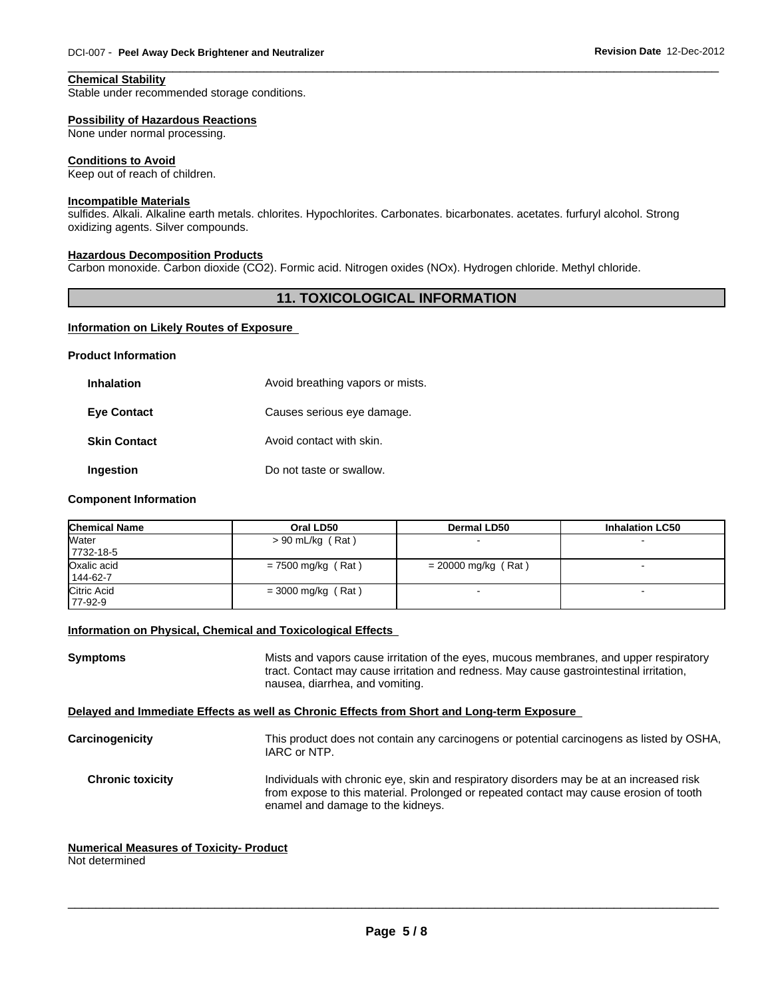## **Chemical Stability**

Stable under recommended storage conditions.

## **Possibility of Hazardous Reactions**

None under normal processing.

#### **Conditions to Avoid**

Keep out of reach of children.

## **Incompatible Materials**

sulfides. Alkali. Alkaline earth metals. chlorites. Hypochlorites. Carbonates. bicarbonates. acetates. furfuryl alcohol. Strong oxidizing agents. Silver compounds.

#### **Hazardous Decomposition Products**

Carbon monoxide. Carbon dioxide (CO2). Formic acid. Nitrogen oxides (NOx). Hydrogen chloride. Methyl chloride.

## **11. TOXICOLOGICAL INFORMATION**

#### **Information on Likely Routes of Exposure**

#### **Product Information**

| Inhalation         | Avoid breathing vapors or mists. |
|--------------------|----------------------------------|
| <b>Eye Contact</b> | Causes serious eye damage.       |
| Skin Contact       | Avoid contact with skin.         |
| Ingestion          | Do not taste or swallow.         |

#### **Component Information**

| <b>Chemical Name</b>    | Oral LD50            | <b>Dermal LD50</b>    | <b>Inhalation LC50</b> |
|-------------------------|----------------------|-----------------------|------------------------|
| Water<br>7732-18-5      | $> 90$ mL/kg (Rat)   |                       |                        |
| Oxalic acid<br>144-62-7 | $= 7500$ mg/kg (Rat) | $= 20000$ mg/kg (Rat) |                        |
| Citric Acid<br>77-92-9  | $=$ 3000 mg/kg (Rat) |                       |                        |

## **Information on Physical, Chemical and Toxicological Effects**

| Symptoms<br>tract. Contact may cause irritation and redness. May cause gastrointestinal irritation,<br>nausea, diarrhea, and vomiting.<br>Delayed and Immediate Effects as well as Chronic Effects from Short and Long-term Exposure<br>Carcinogenicity<br>IARC or NTP.<br><b>Chronic toxicity</b><br>Individuals with chronic eye, skin and respiratory disorders may be at an increased risk<br>from expose to this material. Prolonged or repeated contact may cause erosion of tooth<br>enamel and damage to the kidneys. |                                                                                           |  |
|-------------------------------------------------------------------------------------------------------------------------------------------------------------------------------------------------------------------------------------------------------------------------------------------------------------------------------------------------------------------------------------------------------------------------------------------------------------------------------------------------------------------------------|-------------------------------------------------------------------------------------------|--|
|                                                                                                                                                                                                                                                                                                                                                                                                                                                                                                                               | Mists and vapors cause irritation of the eyes, mucous membranes, and upper respiratory    |  |
|                                                                                                                                                                                                                                                                                                                                                                                                                                                                                                                               |                                                                                           |  |
|                                                                                                                                                                                                                                                                                                                                                                                                                                                                                                                               | This product does not contain any carcinogens or potential carcinogens as listed by OSHA, |  |
|                                                                                                                                                                                                                                                                                                                                                                                                                                                                                                                               |                                                                                           |  |

## **Numerical Measures of Toxicity- Product**

Not determined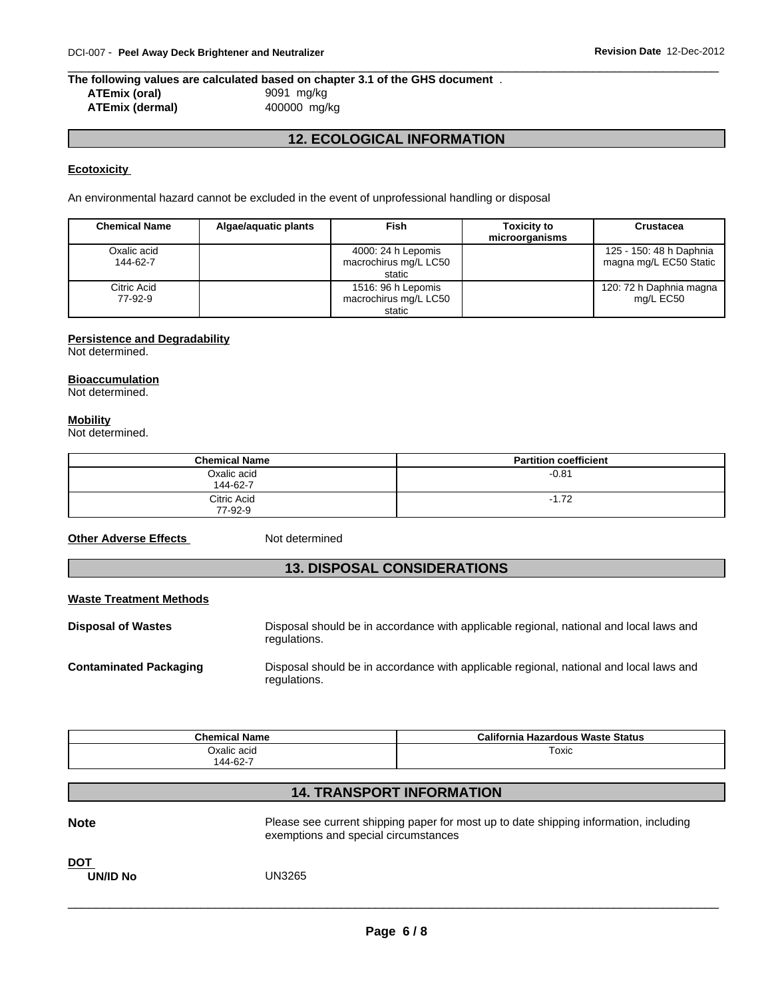## **The following values are calculated based on chapter 3.1 of the GHS document** . **ATEmix (oral)** 9091 mg/kg **ATEmix (dermal)** 400000 mg/kg

## **12. ECOLOGICAL INFORMATION**

## **Ecotoxicity**

An environmental hazard cannot be excluded in the event of unprofessional handling or disposal

| <b>Chemical Name</b>    | Algae/aquatic plants | Fish                                                  | <b>Toxicity to</b><br>microorganisms | Crustacea                                         |
|-------------------------|----------------------|-------------------------------------------------------|--------------------------------------|---------------------------------------------------|
| Oxalic acid<br>144-62-7 |                      | 4000: 24 h Lepomis<br>macrochirus mg/L LC50<br>static |                                      | 125 - 150: 48 h Daphnia<br>magna mg/L EC50 Static |
| Citric Acid<br>77-92-9  |                      | 1516: 96 h Lepomis<br>macrochirus mg/L LC50<br>static |                                      | 120: 72 h Daphnia magna<br>mg/L EC50              |

## **Persistence and Degradability**

Not determined.

## **Bioaccumulation**

Not determined.

## **Mobility**

Not determined.

| <b>Chemical Name</b>    | <b>Partition coefficient</b> |
|-------------------------|------------------------------|
| Oxalic acid<br>144-62-7 | $-0.81$                      |
| Citric Acid<br>77-92-9  | $-1.72$                      |

**Other Adverse Effects** Not determined

## **13. DISPOSAL CONSIDERATIONS**

#### **Waste Treatment Methods**

| <b>Disposal of Wastes</b>     | Disposal should be in accordance with applicable regional, national and local laws and<br>regulations. |
|-------------------------------|--------------------------------------------------------------------------------------------------------|
| <b>Contaminated Packaging</b> | Disposal should be in accordance with applicable regional, national and local laws and<br>regulations. |

| <b>Chemical Name</b> | <b>California Hazardous Waste Status</b> |
|----------------------|------------------------------------------|
| Oxalic acid          | Toxic                                    |
| 144-62-7             |                                          |

## **14. TRANSPORT INFORMATION**

| <b>Note</b>                   | Please see current shipping paper for most up to date shipping information, including<br>exemptions and special circumstances |
|-------------------------------|-------------------------------------------------------------------------------------------------------------------------------|
| <b>DOT</b><br><b>UN/ID No</b> | <b>UN3265</b>                                                                                                                 |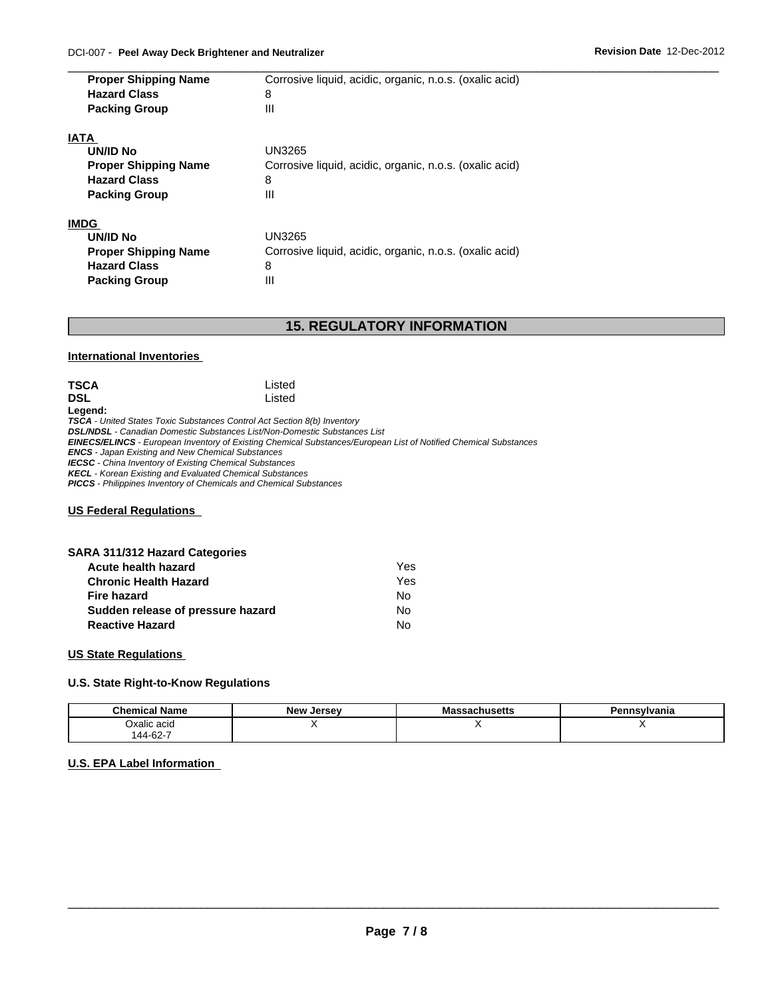| <b>Proper Shipping Name</b><br><b>Hazard Class</b> | Corrosive liquid, acidic, organic, n.o.s. (oxalic acid)<br>8 |
|----------------------------------------------------|--------------------------------------------------------------|
| <b>Packing Group</b>                               | Ш                                                            |
| IATA                                               |                                                              |
| UN/ID No                                           | UN3265                                                       |
| <b>Proper Shipping Name</b>                        | Corrosive liquid, acidic, organic, n.o.s. (oxalic acid)      |
| <b>Hazard Class</b>                                | 8                                                            |
| <b>Packing Group</b>                               | Ш                                                            |
| <b>IMDG</b>                                        |                                                              |
| <b>UN/ID No</b>                                    | <b>UN3265</b>                                                |
| <b>Proper Shipping Name</b>                        | Corrosive liquid, acidic, organic, n.o.s. (oxalic acid)      |
| <b>Hazard Class</b>                                | 8                                                            |
| <b>Packing Group</b>                               | Ш                                                            |

## **15. REGULATORY INFORMATION**

#### **International Inventories**

| <b>TSCA</b> | Listed |  |
|-------------|--------|--|
| <b>DSL</b>  | Listed |  |
| Legend:     |        |  |

*TSCA - United States Toxic Substances Control Act Section 8(b) Inventory*

*DSL/NDSL - Canadian Domestic Substances List/Non-Domestic Substances List*

*EINECS/ELINCS - European Inventory of Existing Chemical Substances/European List of Notified Chemical Substances*

*ENCS - Japan Existing and New Chemical Substances*

*IECSC - China Inventory of Existing Chemical Substances*

*KECL - Korean Existing and Evaluated Chemical Substances*

*PICCS - Philippines Inventory of Chemicals and Chemical Substances*

#### **US Federal Regulations**

| <b>SARA 311/312 Hazard Categories</b> |  |
|---------------------------------------|--|
| المعددهما والملامم الملابيم المنتج    |  |

| Acute health hazard               | Yes. |
|-----------------------------------|------|
| <b>Chronic Health Hazard</b>      | Yes  |
| Fire hazard                       | N٥   |
| Sudden release of pressure hazard | No   |
| <b>Reactive Hazard</b>            | No   |

## **US State Regulations**

## **U.S. State Right-to-Know Regulations**

| <b>Chemical</b><br><b>Name</b> | New<br>Jersev | nucatt:<br>massacnusetts | Pennsylvania |
|--------------------------------|---------------|--------------------------|--------------|
| Oxalic acid<br>.               |               |                          | . .          |
| 144-62-7                       |               |                          |              |

## **U.S. EPA Label Information**